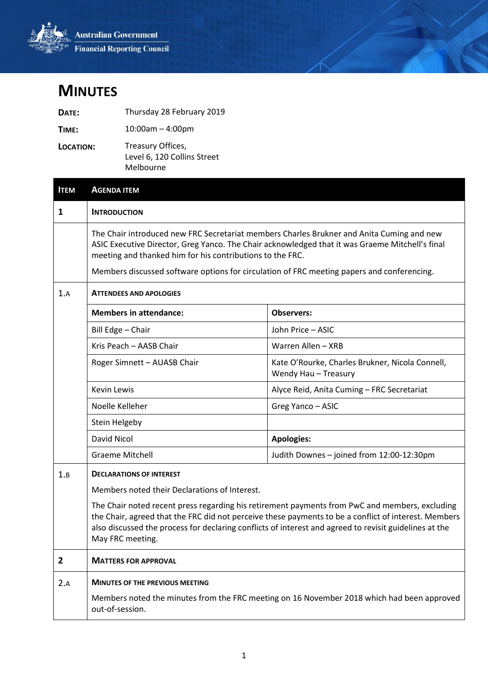

## **MINUTES**

| DATE:     | Thursday 28 February 2019                                     |
|-----------|---------------------------------------------------------------|
| TIME:     | $10:00$ am $-4:00$ pm                                         |
| LOCATION: | Treasury Offices,<br>Level 6, 120 Collins Street<br>Melbourne |

| <b>ITEM</b> | <b>AGENDA ITEM</b>                                                                                                                                                                                                                                                                                                                                      |                                                                                            |
|-------------|---------------------------------------------------------------------------------------------------------------------------------------------------------------------------------------------------------------------------------------------------------------------------------------------------------------------------------------------------------|--------------------------------------------------------------------------------------------|
| 1           | <b>INTRODUCTION</b>                                                                                                                                                                                                                                                                                                                                     |                                                                                            |
|             | The Chair introduced new FRC Secretariat members Charles Brukner and Anita Cuming and new<br>ASIC Executive Director, Greg Yanco. The Chair acknowledged that it was Graeme Mitchell's final<br>meeting and thanked him for his contributions to the FRC.<br>Members discussed software options for circulation of FRC meeting papers and conferencing. |                                                                                            |
| 1.A         | <b>ATTENDEES AND APOLOGIES</b>                                                                                                                                                                                                                                                                                                                          |                                                                                            |
|             | <b>Members in attendance:</b>                                                                                                                                                                                                                                                                                                                           | <b>Observers:</b>                                                                          |
|             | Bill Edge - Chair                                                                                                                                                                                                                                                                                                                                       | John Price - ASIC                                                                          |
|             | Kris Peach - AASB Chair                                                                                                                                                                                                                                                                                                                                 | Warren Allen - XRB                                                                         |
|             | Roger Simnett - AUASB Chair                                                                                                                                                                                                                                                                                                                             | Kate O'Rourke, Charles Brukner, Nicola Connell,<br>Wendy Hau - Treasury                    |
|             | <b>Kevin Lewis</b>                                                                                                                                                                                                                                                                                                                                      | Alyce Reid, Anita Cuming - FRC Secretariat                                                 |
|             | Noelle Kelleher                                                                                                                                                                                                                                                                                                                                         | Greg Yanco - ASIC                                                                          |
|             | Stein Helgeby                                                                                                                                                                                                                                                                                                                                           |                                                                                            |
|             | David Nicol                                                                                                                                                                                                                                                                                                                                             | <b>Apologies:</b>                                                                          |
|             | <b>Graeme Mitchell</b>                                                                                                                                                                                                                                                                                                                                  | Judith Downes - joined from 12:00-12:30pm                                                  |
| 1.B         | <b>DECLARATIONS OF INTEREST</b>                                                                                                                                                                                                                                                                                                                         |                                                                                            |
|             | Members noted their Declarations of Interest.                                                                                                                                                                                                                                                                                                           |                                                                                            |
|             | The Chair noted recent press regarding his retirement payments from PwC and members, excluding<br>the Chair, agreed that the FRC did not perceive these payments to be a conflict of interest. Members<br>also discussed the process for declaring conflicts of interest and agreed to revisit guidelines at the<br>May FRC meeting.                    |                                                                                            |
| 2           | <b>MATTERS FOR APPROVAL</b>                                                                                                                                                                                                                                                                                                                             |                                                                                            |
| 2.A         | <b>MINUTES OF THE PREVIOUS MEETING</b>                                                                                                                                                                                                                                                                                                                  |                                                                                            |
|             | out-of-session.                                                                                                                                                                                                                                                                                                                                         | Members noted the minutes from the FRC meeting on 16 November 2018 which had been approved |
|             |                                                                                                                                                                                                                                                                                                                                                         |                                                                                            |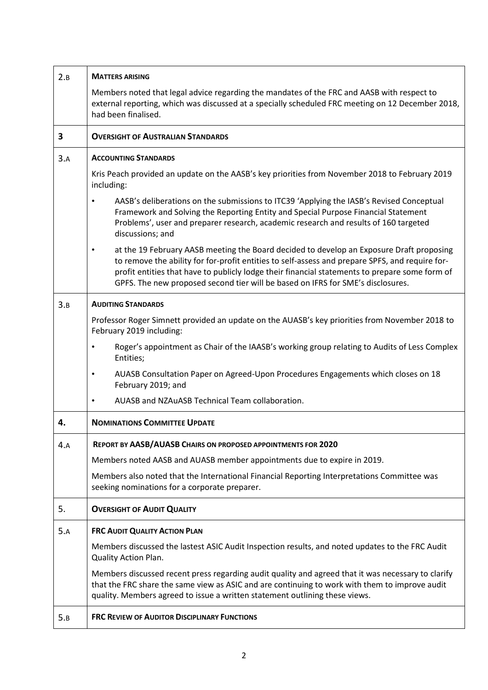| 2.B | <b>MATTERS ARISING</b>                                                                                                                                                                                                                                                                                                                                                                        |
|-----|-----------------------------------------------------------------------------------------------------------------------------------------------------------------------------------------------------------------------------------------------------------------------------------------------------------------------------------------------------------------------------------------------|
|     | Members noted that legal advice regarding the mandates of the FRC and AASB with respect to<br>external reporting, which was discussed at a specially scheduled FRC meeting on 12 December 2018,<br>had been finalised.                                                                                                                                                                        |
| 3   | <b>OVERSIGHT OF AUSTRALIAN STANDARDS</b>                                                                                                                                                                                                                                                                                                                                                      |
| 3.A | <b>ACCOUNTING STANDARDS</b>                                                                                                                                                                                                                                                                                                                                                                   |
|     | Kris Peach provided an update on the AASB's key priorities from November 2018 to February 2019<br>including:                                                                                                                                                                                                                                                                                  |
|     | AASB's deliberations on the submissions to ITC39 'Applying the IASB's Revised Conceptual<br>Framework and Solving the Reporting Entity and Special Purpose Financial Statement<br>Problems', user and preparer research, academic research and results of 160 targeted<br>discussions; and                                                                                                    |
|     | at the 19 February AASB meeting the Board decided to develop an Exposure Draft proposing<br>$\bullet$<br>to remove the ability for for-profit entities to self-assess and prepare SPFS, and require for-<br>profit entities that have to publicly lodge their financial statements to prepare some form of<br>GPFS. The new proposed second tier will be based on IFRS for SME's disclosures. |
| 3.B | <b>AUDITING STANDARDS</b>                                                                                                                                                                                                                                                                                                                                                                     |
|     | Professor Roger Simnett provided an update on the AUASB's key priorities from November 2018 to<br>February 2019 including:                                                                                                                                                                                                                                                                    |
|     | Roger's appointment as Chair of the IAASB's working group relating to Audits of Less Complex<br>$\bullet$<br>Entities;                                                                                                                                                                                                                                                                        |
|     | AUASB Consultation Paper on Agreed-Upon Procedures Engagements which closes on 18<br>٠<br>February 2019; and                                                                                                                                                                                                                                                                                  |
|     | AUASB and NZAuASB Technical Team collaboration.                                                                                                                                                                                                                                                                                                                                               |
| 4.  | <b>NOMINATIONS COMMITTEE UPDATE</b>                                                                                                                                                                                                                                                                                                                                                           |
| 4.A | REPORT BY AASB/AUASB CHAIRS ON PROPOSED APPOINTMENTS FOR 2020                                                                                                                                                                                                                                                                                                                                 |
|     | Members noted AASB and AUASB member appointments due to expire in 2019.                                                                                                                                                                                                                                                                                                                       |
|     | Members also noted that the International Financial Reporting Interpretations Committee was<br>seeking nominations for a corporate preparer.                                                                                                                                                                                                                                                  |
| 5.  | <b>OVERSIGHT OF AUDIT QUALITY</b>                                                                                                                                                                                                                                                                                                                                                             |
| 5.A | <b>FRC AUDIT QUALITY ACTION PLAN</b>                                                                                                                                                                                                                                                                                                                                                          |
|     | Members discussed the lastest ASIC Audit Inspection results, and noted updates to the FRC Audit<br><b>Quality Action Plan.</b>                                                                                                                                                                                                                                                                |
|     | Members discussed recent press regarding audit quality and agreed that it was necessary to clarify<br>that the FRC share the same view as ASIC and are continuing to work with them to improve audit<br>quality. Members agreed to issue a written statement outlining these views.                                                                                                           |
| 5.B | <b>FRC REVIEW OF AUDITOR DISCIPLINARY FUNCTIONS</b>                                                                                                                                                                                                                                                                                                                                           |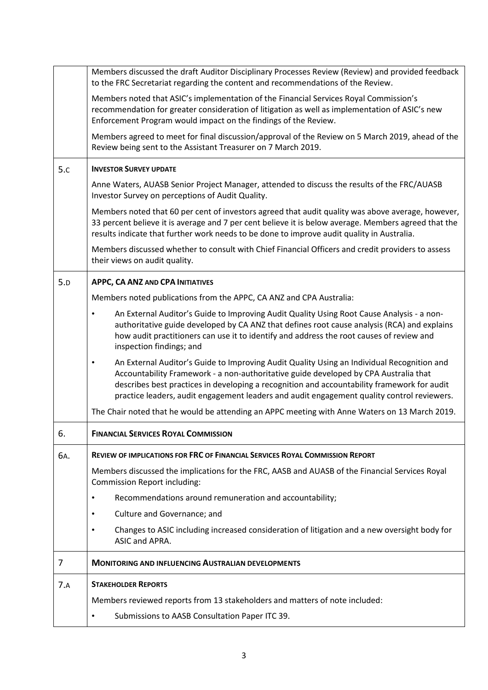|     | Members discussed the draft Auditor Disciplinary Processes Review (Review) and provided feedback<br>to the FRC Secretariat regarding the content and recommendations of the Review.                                                                                                                                                                                                          |
|-----|----------------------------------------------------------------------------------------------------------------------------------------------------------------------------------------------------------------------------------------------------------------------------------------------------------------------------------------------------------------------------------------------|
|     | Members noted that ASIC's implementation of the Financial Services Royal Commission's<br>recommendation for greater consideration of litigation as well as implementation of ASIC's new<br>Enforcement Program would impact on the findings of the Review.                                                                                                                                   |
|     | Members agreed to meet for final discussion/approval of the Review on 5 March 2019, ahead of the<br>Review being sent to the Assistant Treasurer on 7 March 2019.                                                                                                                                                                                                                            |
| 5.c | <b>INVESTOR SURVEY UPDATE</b>                                                                                                                                                                                                                                                                                                                                                                |
|     | Anne Waters, AUASB Senior Project Manager, attended to discuss the results of the FRC/AUASB<br>Investor Survey on perceptions of Audit Quality.                                                                                                                                                                                                                                              |
|     | Members noted that 60 per cent of investors agreed that audit quality was above average, however,<br>33 percent believe it is average and 7 per cent believe it is below average. Members agreed that the<br>results indicate that further work needs to be done to improve audit quality in Australia.                                                                                      |
|     | Members discussed whether to consult with Chief Financial Officers and credit providers to assess<br>their views on audit quality.                                                                                                                                                                                                                                                           |
| 5.D | <b>APPC, CA ANZ AND CPA INITIATIVES</b>                                                                                                                                                                                                                                                                                                                                                      |
|     | Members noted publications from the APPC, CA ANZ and CPA Australia:                                                                                                                                                                                                                                                                                                                          |
|     | An External Auditor's Guide to Improving Audit Quality Using Root Cause Analysis - a non-<br>authoritative guide developed by CA ANZ that defines root cause analysis (RCA) and explains<br>how audit practitioners can use it to identify and address the root causes of review and<br>inspection findings; and                                                                             |
|     | An External Auditor's Guide to Improving Audit Quality Using an Individual Recognition and<br>$\bullet$<br>Accountability Framework - a non-authoritative guide developed by CPA Australia that<br>describes best practices in developing a recognition and accountability framework for audit<br>practice leaders, audit engagement leaders and audit engagement quality control reviewers. |
|     | The Chair noted that he would be attending an APPC meeting with Anne Waters on 13 March 2019.                                                                                                                                                                                                                                                                                                |
| 6.  | <b>FINANCIAL SERVICES ROYAL COMMISSION</b>                                                                                                                                                                                                                                                                                                                                                   |
| 6A. | REVIEW OF IMPLICATIONS FOR FRC OF FINANCIAL SERVICES ROYAL COMMISSION REPORT                                                                                                                                                                                                                                                                                                                 |
|     | Members discussed the implications for the FRC, AASB and AUASB of the Financial Services Royal<br><b>Commission Report including:</b>                                                                                                                                                                                                                                                        |
|     | Recommendations around remuneration and accountability;<br>٠                                                                                                                                                                                                                                                                                                                                 |
|     | Culture and Governance; and                                                                                                                                                                                                                                                                                                                                                                  |
|     | Changes to ASIC including increased consideration of litigation and a new oversight body for<br>ASIC and APRA.                                                                                                                                                                                                                                                                               |
| 7   | <b>MONITORING AND INFLUENCING AUSTRALIAN DEVELOPMENTS</b>                                                                                                                                                                                                                                                                                                                                    |
| 7.A | <b>STAKEHOLDER REPORTS</b>                                                                                                                                                                                                                                                                                                                                                                   |
|     | Members reviewed reports from 13 stakeholders and matters of note included:                                                                                                                                                                                                                                                                                                                  |
|     | Submissions to AASB Consultation Paper ITC 39.                                                                                                                                                                                                                                                                                                                                               |